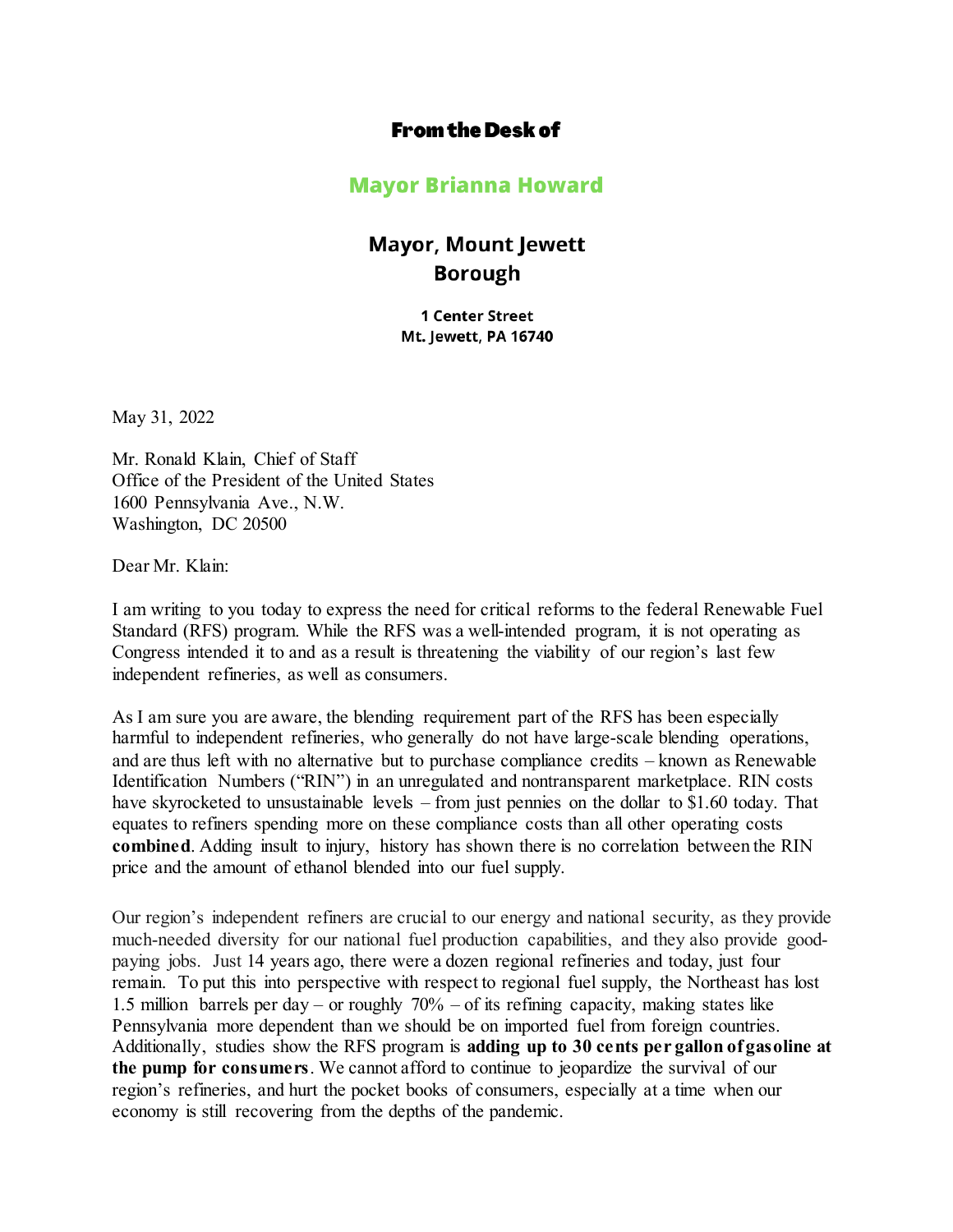## **From the Desk of**

## **Mayor Brianna Howard**

## **Mayor, Mount Jewett Borough**

**1 Center Street** Mt. Jewett, PA 16740

May 31, 2022

Mr. Ronald Klain, Chief of Staff Office of the President of the United States 1600 Pennsylvania Ave., N.W. Washington, DC 20500

Dear Mr. Klain:

I am writing to you today to express the need for critical reforms to the federal Renewable Fuel Standard (RFS) program. While the RFS was a well-intended program, it is not operating as Congress intended it to and as a result is threatening the viability of our region's last few independent refineries, as well as consumers.

As I am sure you are aware, the blending requirement part of the RFS has been especially harmful to independent refineries, who generally do not have large-scale blending operations, and are thus left with no alternative but to purchase compliance credits – known as Renewable Identification Numbers ("RIN") in an unregulated and nontransparent marketplace. RIN costs have skyrocketed to unsustainable levels – from just pennies on the dollar to \$1.60 today. That equates to refiners spending more on these compliance costs than all other operating costs **combined**. Adding insult to injury, history has shown there is no correlation between the RIN price and the amount of ethanol blended into our fuel supply.

Our region's independent refiners are crucial to our energy and national security, as they provide much-needed diversity for our national fuel production capabilities, and they also provide goodpaying jobs. Just 14 years ago, there were a dozen regional refineries and today, just four remain. To put this into perspective with respect to regional fuel supply, the Northeast has lost 1.5 million barrels per day – or roughly 70% – of its refining capacity, making states like Pennsylvania more dependent than we should be on imported fuel from foreign countries. Additionally, studies show the RFS program is **adding up to 30 cents per gallon of gasoline at the pump for consumers**. We cannot afford to continue to jeopardize the survival of our region's refineries, and hurt the pocket books of consumers, especially at a time when our economy is still recovering from the depths of the pandemic.